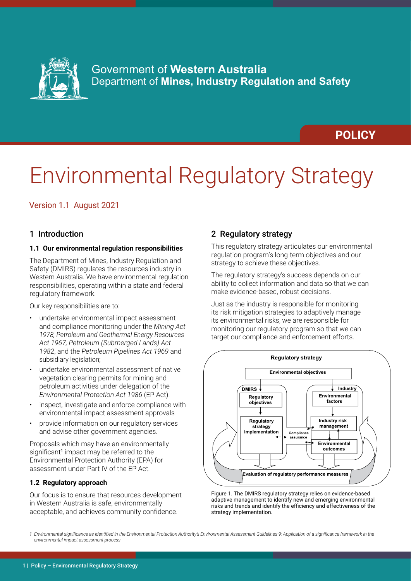

# **POLICY**

# Environmental Regulatory Strategy

# Version 1.1 August 2021

# 1 Introduction

# **1.1 Our environmental regulation responsibilities**

The Department of Mines, Industry Regulation and Safety (DMIRS) regulates the resources industry in Western Australia. We have environmental regulation responsibilities, operating within a state and federal regulatory framework.

Our key responsibilities are to:

- undertake environmental impact assessment and compliance monitoring under the *Mining Act 1978, Petroleum and Geothermal Energy Resources Act 1967, Petroleum (Submerged Lands) Act 1982*, and the *Petroleum Pipelines Act 1969* and subsidiary legislation;
- undertake environmental assessment of native vegetation clearing permits for mining and petroleum activities under delegation of the *Environmental Protection Act 1986* (EP Act).
- inspect, investigate and enforce compliance with environmental impact assessment approvals
- provide information on our regulatory services and advise other government agencies.

Proposals which may have an environmentally significant<sup>1</sup> impact may be referred to the Environmental Protection Authority (EPA) for assessment under Part IV of the EP Act.

# **1.2 Regulatory approach**

Our focus is to ensure that resources development in Western Australia is safe, environmentally acceptable, and achieves community confidence.

# 2 Regulatory strategy

This regulatory strategy articulates our environmental regulation program's long-term objectives and our strategy to achieve these objectives.

The regulatory strategy's success depends on our ability to collect information and data so that we can make evidence-based, robust decisions.

Just as the industry is responsible for monitoring its risk mitigation strategies to adaptively manage its environmental risks, we are responsible for monitoring our regulatory program so that we can target our compliance and enforcement efforts.



Figure 1. The DMIRS regulatory strategy relies on evidence-based adaptive management to identify new and emerging environmental risks and trends and identify the efficiency and effectiveness of the strategy implementation.

*<sup>1</sup> Environmental significance as identified in the Environmental Protection Authority's Environmental Assessment Guidelines 9: Application of a significance framework in the environmental impact assessment process*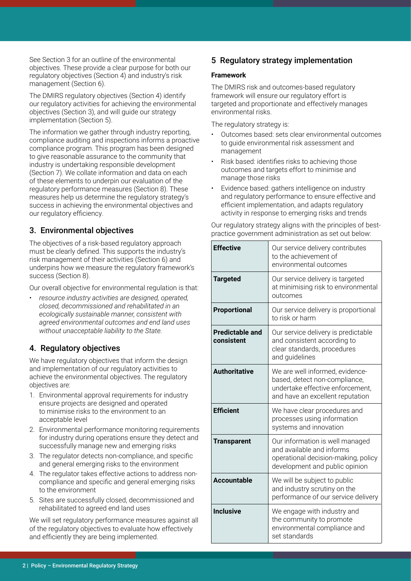See Section 3 for an outline of the environmental objectives. These provide a clear purpose for both our regulatory objectives (Section 4) and industry's risk management (Section 6).

The DMIRS regulatory objectives (Section 4) identify our regulatory activities for achieving the environmental objectives (Section 3), and will guide our strategy implementation (Section 5).

The information we gather through industry reporting, compliance auditing and inspections informs a proactive compliance program. This program has been designed to give reasonable assurance to the community that industry is undertaking responsible development (Section 7). We collate information and data on each of these elements to underpin our evaluation of the regulatory performance measures (Section 8). These measures help us determine the regulatory strategy's success in achieving the environmental objectives and our regulatory efficiency.

# 3. Environmental objectives

The objectives of a risk-based regulatory approach must be clearly defined. This supports the industry's risk management of their activities (Section 6) and underpins how we measure the regulatory framework's success (Section 8).

Our overall objective for environmental regulation is that:

• *resource industry activities are designed, operated, closed, decommissioned and rehabilitated in an ecologically sustainable manner, consistent with agreed environmental outcomes and end land uses without unacceptable liability to the State.*

# 4. Regulatory objectives

We have regulatory objectives that inform the design and implementation of our regulatory activities to achieve the environmental objectives. The regulatory objectives are:

- 1. Environmental approval requirements for industry ensure projects are designed and operated to minimise risks to the environment to an acceptable level
- 2. Environmental performance monitoring requirements for industry during operations ensure they detect and successfully manage new and emerging risks
- 3. The regulator detects non-compliance, and specific and general emerging risks to the environment
- 4. The regulator takes effective actions to address noncompliance and specific and general emerging risks to the environment
- 5. Sites are successfully closed, decommissioned and rehabilitated to agreed end land uses

We will set regulatory performance measures against all of the regulatory objectives to evaluate how effectively and efficiently they are being implemented.

# 5 Regulatory strategy implementation

# **Framework**

The DMIRS risk and outcomes-based regulatory framework will ensure our regulatory effort is targeted and proportionate and effectively manages environmental risks.

The regulatory strategy is:

- Outcomes based: sets clear environmental outcomes to guide environmental risk assessment and management
- Risk based: identifies risks to achieving those outcomes and targets effort to minimise and manage those risks
- Evidence based: gathers intelligence on industry and regulatory performance to ensure effective and efficient implementation, and adapts regulatory activity in response to emerging risks and trends

Our regulatory strategy aligns with the principles of bestpractice government administration as set out below:

| <b>Effective</b>                     | Our service delivery contributes<br>to the achievement of<br>environmental outcomes                                                      |  |
|--------------------------------------|------------------------------------------------------------------------------------------------------------------------------------------|--|
| <b>Targeted</b>                      | Our service delivery is targeted<br>at minimising risk to environmental<br>outcomes                                                      |  |
| Proportional                         | Our service delivery is proportional<br>to risk or harm                                                                                  |  |
| <b>Predictable and</b><br>consistent | Our service delivery is predictable<br>and consistent according to<br>clear standards, procedures<br>and guidelines                      |  |
| <b>Authoritative</b>                 | We are well informed, evidence-<br>based, detect non-compliance,<br>undertake effective enforcement,<br>and have an excellent reputation |  |
| <b>Efficient</b>                     | We have clear procedures and<br>processes using information<br>systems and innovation                                                    |  |
| <b>Transparent</b>                   | Our information is well managed<br>and available and informs<br>operational decision-making, policy<br>development and public opinion    |  |
| Accountable                          | We will be subject to public<br>and industry scrutiny on the<br>performance of our service delivery                                      |  |
| <b>Inclusive</b>                     | We engage with industry and<br>the community to promote<br>environmental compliance and<br>set standards                                 |  |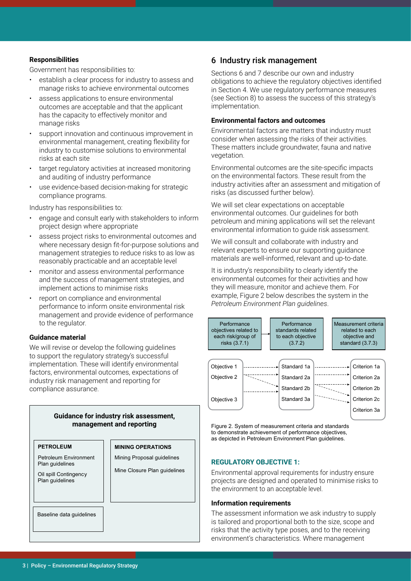# **Responsibilities**

Government has responsibilities to:

- establish a clear process for industry to assess and manage risks to achieve environmental outcomes
- assess applications to ensure environmental outcomes are acceptable and that the applicant has the capacity to effectively monitor and manage risks
- support innovation and continuous improvement in environmental management, creating flexibility for industry to customise solutions to environmental risks at each site
- target regulatory activities at increased monitoring and auditing of industry performance
- use evidence-based decision-making for strategic compliance programs.

Industry has responsibilities to:

- engage and consult early with stakeholders to inform project design where appropriate
- assess project risks to environmental outcomes and where necessary design fit-for-purpose solutions and management strategies to reduce risks to as low as reasonably practicable and an acceptable level
- monitor and assess environmental performance and the success of management strategies, and implement actions to minimise risks
- report on compliance and environmental performance to inform onsite environmental risk management and provide evidence of performance to the regulator.

# **Guidance material**

We will revise or develop the following guidelines to support the regulatory strategy's successful implementation. These will identify environmental factors, environmental outcomes, expectations of industry risk management and reporting for compliance assurance.

| Guidance for industry risk assessment,<br>management and reporting |                                                            |  |  |  |  |
|--------------------------------------------------------------------|------------------------------------------------------------|--|--|--|--|
| <b>PETROLEUM</b>                                                   | <b>MINING OPERATIONS</b>                                   |  |  |  |  |
| Petroleum Environment<br>Plan guidelines                           | Mining Proposal guidelines<br>Mine Closure Plan guidelines |  |  |  |  |
| Oil spill Contingency<br>Plan quidelines                           |                                                            |  |  |  |  |
| Baseline data guidelines                                           |                                                            |  |  |  |  |

# 6 Industry risk management

Sections 6 and 7 describe our own and industry obligations to achieve the regulatory objectives identified in Section 4. We use regulatory performance measures (see Section 8) to assess the success of this strategy's implementation.

#### **Environmental factors and outcomes**

Environmental factors are matters that industry must consider when assessing the risks of their activities. These matters include groundwater, fauna and native vegetation.

Environmental outcomes are the site-specific impacts on the environmental factors. These result from the industry activities after an assessment and mitigation of risks (as discussed further below).

We will set clear expectations on acceptable environmental outcomes. Our guidelines for both petroleum and mining applications will set the relevant environmental information to guide risk assessment.

We will consult and collaborate with industry and relevant experts to ensure our supporting guidance materials are well-informed, relevant and up-to-date.

It is industry's responsibility to clearly identify the environmental outcomes for their activities and how they will measure, monitor and achieve them. For example, Figure 2 below describes the system in the *Petroleum Environment Plan guidelines*.



Figure 2. System of measurement criteria and standards to demonstrate achievement of performance objectives, as depicted in Petroleum Environment Plan guidelines.

#### **REGULATORY OBJECTIVE 1:**

Environmental approval requirements for industry ensure projects are designed and operated to minimise risks to the environment to an acceptable level.

#### **Information requirements**

The assessment information we ask industry to supply is tailored and proportional both to the size, scope and risks that the activity type poses, and to the receiving environment's characteristics. Where management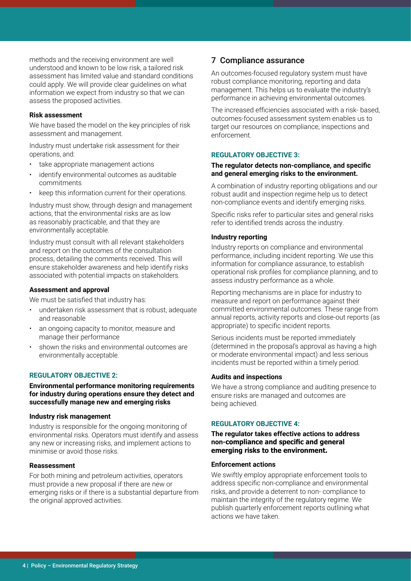methods and the receiving environment are well understood and known to be low risk, a tailored risk assessment has limited value and standard conditions could apply. We will provide clear guidelines on what information we expect from industry so that we can assess the proposed activities.

#### **Risk assessment**

We have based the model on the key principles of risk assessment and management.

Industry must undertake risk assessment for their operations, and:

- take appropriate management actions
- identify environmental outcomes as auditable commitments
- keep this information current for their operations.

Industry must show, through design and management actions, that the environmental risks are as low as reasonably practicable, and that they are environmentally acceptable.

Industry must consult with all relevant stakeholders and report on the outcomes of the consultation process, detailing the comments received. This will ensure stakeholder awareness and help identify risks associated with potential impacts on stakeholders.

#### **Assessment and approval**

We must be satisfied that industry has:

- undertaken risk assessment that is robust, adequate and reasonable
- an ongoing capacity to monitor, measure and manage their performance
- shown the risks and environmental outcomes are environmentally acceptable.

# **REGULATORY OBJECTIVE 2:**

**Environmental performance monitoring requirements for industry during operations ensure they detect and successfully manage new and emerging risks**

#### **Industry risk management**

Industry is responsible for the ongoing monitoring of environmental risks. Operators must identify and assess any new or increasing risks, and implement actions to minimise or avoid those risks.

# **Reassessment**

For both mining and petroleum activities, operators must provide a new proposal if there are new or emerging risks or if there is a substantial departure from the original approved activities.

# 7 Compliance assurance

An outcomes-focused regulatory system must have robust compliance monitoring, reporting and data management. This helps us to evaluate the industry's performance in achieving environmental outcomes.

The increased efficiencies associated with a risk- based, outcomes-focused assessment system enables us to target our resources on compliance, inspections and enforcement.

# **REGULATORY OBJECTIVE 3:**

## **The regulator detects non-compliance, and specific and general emerging risks to the environment.**

A combination of industry reporting obligations and our robust audit and inspection regime help us to detect non-compliance events and identify emerging risks.

Specific risks refer to particular sites and general risks refer to identified trends across the industry.

# **Industry reporting**

Industry reports on compliance and environmental performance, including incident reporting. We use this information for compliance assurance, to establish operational risk profiles for compliance planning, and to assess industry performance as a whole.

Reporting mechanisms are in place for industry to measure and report on performance against their committed environmental outcomes. These range from annual reports, activity reports and close-out reports (as appropriate) to specific incident reports.

Serious incidents must be reported immediately (determined in the proposal's approval as having a high or moderate environmental impact) and less serious incidents must be reported within a timely period.

#### **Audits and inspections**

We have a strong compliance and auditing presence to ensure risks are managed and outcomes are being achieved.

# **REGULATORY OBJECTIVE 4:**

**The regulator takes effective actions to address non-compliance and specific and general emerging risks to the environment.**

#### **Enforcement actions**

We swiftly employ appropriate enforcement tools to address specific non-compliance and environmental risks, and provide a deterrent to non- compliance to maintain the integrity of the regulatory regime. We publish quarterly enforcement reports outlining what actions we have taken.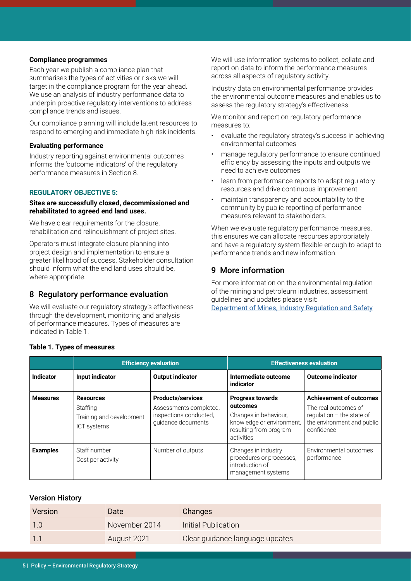# **Compliance programmes**

Each year we publish a compliance plan that summarises the types of activities or risks we will target in the compliance program for the year ahead. We use an analysis of industry performance data to underpin proactive regulatory interventions to address compliance trends and issues.

Our compliance planning will include latent resources to respond to emerging and immediate high-risk incidents.

#### **Evaluating performance**

Industry reporting against environmental outcomes informs the 'outcome indicators' of the regulatory performance measures in Section 8.

# **REGULATORY OBJECTIVE 5:**

# **Sites are successfully closed, decommissioned and rehabilitated to agreed end land uses.**

We have clear requirements for the closure, rehabilitation and relinquishment of project sites.

Operators must integrate closure planning into project design and implementation to ensure a greater likelihood of success. Stakeholder consultation should inform what the end land uses should be, where appropriate.

# 8 Regulatory performance evaluation

We will evaluate our regulatory strategy's effectiveness through the development, monitoring and analysis of performance measures. Types of measures are indicated in Table 1.

We will use information systems to collect, collate and report on data to inform the performance measures across all aspects of regulatory activity.

Industry data on environmental performance provides the environmental outcome measures and enables us to assess the regulatory strategy's effectiveness.

We monitor and report on regulatory performance measures to:

- evaluate the regulatory strategy's success in achieving environmental outcomes
- manage regulatory performance to ensure continued efficiency by assessing the inputs and outputs we need to achieve outcomes
- learn from performance reports to adapt regulatory resources and drive continuous improvement
- maintain transparency and accountability to the community by public reporting of performance measures relevant to stakeholders.

When we evaluate regulatory performance measures, this ensures we can allocate resources appropriately and have a regulatory system flexible enough to adapt to performance trends and new information.

# 9 More information

For more information on the environmental regulation of the mining and petroleum industries, assessment guidelines and updates please visit: [Department of Mines, Industry Regulation and Safety](https://www.dmirs.wa.gov.au/)

|                 | <b>Efficiency evaluation</b>                                                   |                                                                                                    | <b>Effectiveness evaluation</b>                                                                                                   |                                                                                                                                   |
|-----------------|--------------------------------------------------------------------------------|----------------------------------------------------------------------------------------------------|-----------------------------------------------------------------------------------------------------------------------------------|-----------------------------------------------------------------------------------------------------------------------------------|
| Indicator       | Input indicator                                                                | <b>Output indicator</b>                                                                            | Intermediate outcome<br>indicator                                                                                                 | <b>Outcome indicator</b>                                                                                                          |
| <b>Measures</b> | <b>Resources</b><br>Staffing<br>Training and development<br><b>ICT</b> systems | <b>Products/services</b><br>Assessments completed,<br>inspections conducted,<br>quidance documents | <b>Progress towards</b><br>outcomes<br>Changes in behaviour,<br>knowledge or environment,<br>resulting from program<br>activities | <b>Achievement of outcomes</b><br>The real outcomes of<br>regulation $-$ the state of<br>the environment and public<br>confidence |
| <b>Examples</b> | Staff number<br>Cost per activity                                              | Number of outputs                                                                                  | Changes in industry<br>procedures or processes,<br>introduction of<br>management systems                                          | Environmental outcomes<br>performance                                                                                             |

# **Table 1. Types of measures**

# Version History

| Version | Date          | <b>Changes</b>                  |
|---------|---------------|---------------------------------|
|         | November 2014 | Initial Publication             |
|         | August 2021   | Clear guidance language updates |